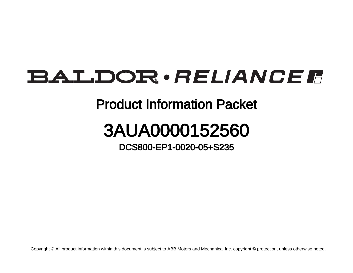## **BALDOR** · RELIANCE F

## Product Information Packet

## 3AUA0000152560

DCS800-EP1-0020-05+S235

Copyright © All product information within this document is subject to ABB Motors and Mechanical Inc. copyright © protection, unless otherwise noted.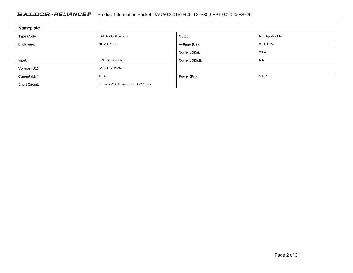## BALDOR · RELIANCE F Product Information Packet: 3AUA0000152560 - DCS800-EP1-0020-05+S235

| Nameplate             |                               |                 |                |
|-----------------------|-------------------------------|-----------------|----------------|
| <b>Type Code:</b>     | 3AUA0000152560                | Output:         | Not Applicable |
| Enclosure:            | NEMA Open                     | Voltage (U2):   | $0U1$ Vac      |
|                       |                               | Current (I2n):  | 20 A           |
| Input:                | 3PH 5060 Hz                   | Current (I2hd): | <b>NA</b>      |
| Voltage (U1):         | Wired for 240V                |                 |                |
| Current (I1n):        | 16 A                          | Power (Pn):     | 5 HP           |
| <b>Short Circuit:</b> | 65Ka RMS Symetrical, 500V max |                 |                |